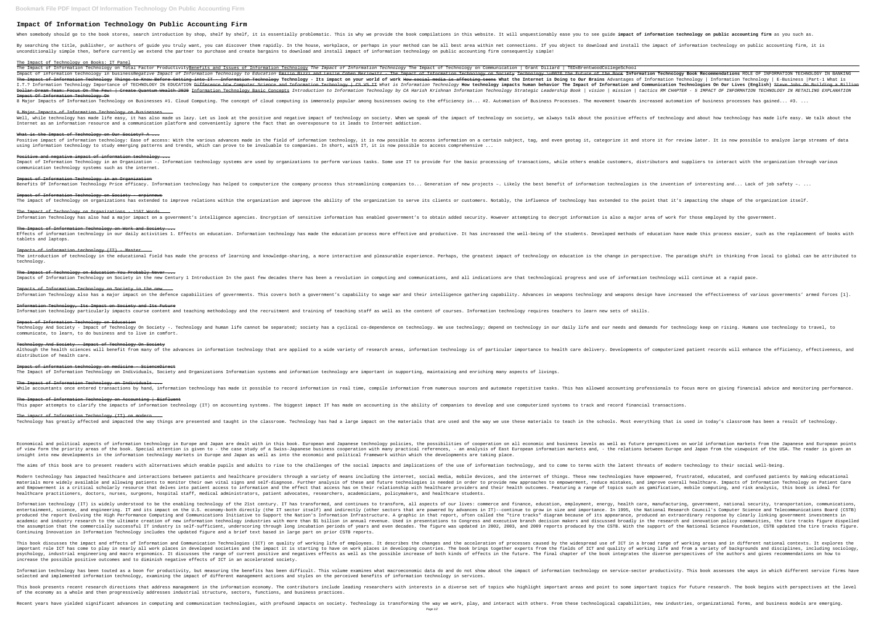## **Impact Of Information Technology On Public Accounting Firm**

By searching the title, publisher, or authors of guide you truly want, you can discover them rapidly. In the house, workplace, or perhaps in your method can be all best area within net connections. If you object to downloa unconditionally simple then, before currently we extend the partner to purchase and create bargains to download and install impact of information technology on public accounting firm consequently simple!

### The Impact of Technology on Books: IT Panel

The Impact of Information Technology on Total Factor Productivity<u>Benefits and Issues of Information Technology</u> The Impact of Information Technology The Impact of Technology The Impact of Technology on Communication | Gra Impact of information technology in businessNegative Impact of Information Technology to Education Technology to Education <del>Emilio Bizzi and Leslie Cohen Berlowitz - The Impact of the Book Information Technology Book Recom</del> The Impact of Information Technology Things to Know Before Getting into IT — Information Technology I affecting to Our Brains Advantages of Information Technology | Information Technology | E-Business |Part-1 What is I.T.? Information Technology Importance of TECHNOLOGY IN EDUCATION <del>Difference btw Computer Science and Information Technology How technology impacts human behavior The Impact of Information and Communication Technologies </del> Dollar Dream Team: Focus On The Few! | Create Quantum Wealth 2020 Information Technology Basic Concepts Introduction to Information Technology by CA Harish Krishnan Information Technology by CA Harish Krishnan Information Impact Of Information Technology On

8 Major Impacts of Information Technology on Businesses #1. Cloud Computing. The concept of cloud computing is immensely popular among businesses. The movement towards increased automation of business processes has gained.

# 8 Major Impacts of Information Technology on Businesses ...

while technology has made life easy, it has also made us lazy. Let us look at the positive and negative impact of technology on society. When we speak of the impact of technology on society. When we speak of technology and Internet as an information resource and a communication platform and conveniently ignore the fact that an overexposure to it leads to Internet addiction.

## What is the Impact of Technology on Our Society? A ...

Positive impact of information technology: Ease of access: With the various advances made in the field of information technology, it is now possible to access information on a certain subject, tag, and even geotag it, cate using information technology to study emerging patterns and trends, which can prove to be invaluable to companies. In short, with IT, it is now possible to access comprehensive ...

## Positive and negative impact of information technology ...

Impacts of information technology (IT) - Master ... technology.

## The Impact of Technology on Education You Probably Never ...

Impacts of Information Technology on Society in the new Century 1 Introduction In the past few decades there has been a revolution in computing and all indications, and all indications, and all indications are that technol

Impacts of Information Technology on Society in the new ... Information Technology also has a major impact on the defence capabilities of governments. This covers both a government's capability to wage war and their intelligence gathering capability. Advances in weapons design have

Although the health sciences will benefit from many of the advances in information technology that are applied to a wide variety of research areas, information technology is of particular importance to health care delivery distribution of health care.

communication technology systems such as the internet.

Impact of Information Technology in an Organization

## Impact of Information Technology on Society - erpinnews

The impact of technology on organizations has extended to improve relations within the organization and improve the ability of the organization to serve its clients or customers. Notably, the influence of technology has ex

The Impact of Technology on Organizations - 1167 Words ... Information Technology has also had a major impact on a government's intelligence agencies. Encryption of sensitive information has enabled government's to obtain added security. However attempting to decrypt information i

### The Impact of Information Technology on Work and Society ...

Economical and political aspects of information technology in Europe and Japan are dealt with in this book. European and Japanese technology policies, the possibilities of cooperation on all economic and business levels as of view form the priority areas of the book. Special attention is given to - the case study of a Swiss-Japanese business cooperation with many practical references, - an analysis of East Europe and Japan from the viewpoint insight into new developments in the information technology markets in Europe and Japan as well as into the economic and political framework within which the developments are taking place.

The aims of this book are to present readers with alternatives which enable pupils and adults to rise to the challenges of the social impacts and implications of the use of information technology, and to come to terms with

tablets and laptops.

Modern technology has impacted healthcare and interactions between patients and healthcare providers through a variety of means including the internet, social media, mobile devices, and the internet, social media, mobile d materials more widely available and allowing patients to monitor their own vital signs and self-diagnose. Further analysis of these and future technologies is needed in order to empowerment, reduce mistakes, and improve ov and Empowerment is a critical scholarly resource that delves into patient access to information and the effect that access has on their relationship with healthcare providers and their health outcomes. Featuring a range of healthcare practitioners, doctors, nurses, surgeons, hospital staff, medical administrators, patient advocates, researchers, academicians, policymakers, and healthcare students.

Information technology (IT) is widely understood to be the enabling technology of the 21st century. IT has transformed, and continues to transform, all aspects of our lives: commerce and finance, education, and continues t entertainment, science, and engineering. IT and its impact on the U.S. economy-both directly (the IT sector itself) and indirectly (other sectors that are powered by advances in IT)--continue to grow in size and importance produced the report Evolving the High Performance Computing and Communications Initiative to Support the Nation's Information Infrastructure. A graphic in that report, often called the "tire tracks" diagram because of its academic and industry research to the ultimate creation of new information technology industries with more than \$1 billion in annual revenue. Used in presentations to Congress and executive branch decision makers and execu the assumption that the commercially successful IT industry is self-sufficient, underscoring through long incubation periods of years and even decades. The figure was updated in 2002, 2003, and 2009 reports produced by the Continuing Innovation in Information Technology includes the updated figure and a brief text based in large part on prior CSTB reports.

## Information Technology, Its Impact on Society and Its Future

Information technology particularly impacts course content and teaching methodology and the recruitment and training of teaching staff as well as the content of courses. Information technology requires teachers to learn ne

This book discusses the impact and effects of Information and Communication Technologies (ICT) on quality of working life of employees. It describes the changes and the acceleration of processes caused by the widespread us important role ICT has come to play in nearly all work places in developed societies and the impact it is starting to have on work places in developing countries. The book brings together experts from the fields of ICT and psychology, industrial engineering and macro ergonomics. It discusses the range of current positive and negatives effects as well as the book integrates the diverse perspectives of the authors and gives recommendations on increase the possible positive outcomes and to diminish negative effects of ICT in an accelerated society.

Impact of Information Technology on Education Technology And Society - Impact of Technology On Society -. Technology and human life cannot be separated; society has a cyclical co-dependence on technology. We use technology; depend on technology. We use technology keep communicate, to learn, to do business and to live in comfort.

Information technology has been touted as a boon for productivity, but measuring the benefits has been difficult. This volume examines what macroeconomic data do and do not show about the impact of information technology o selected and implemented information technology, examining the impact of different management actions and styles on the perceived benefits of information technology in services.

### Technology And Society - Impact of Technology On Society

This book presents recent research directions that address management in the information economy. The contributors include leading researchers with interests in a diverse set of topics who highlight important topics for fu of the economy as a whole and then progressively addresses industrial structure, sectors, functions, and business practices.

Recent years have yielded significant advances in computing and communication technologies, with profound impacts on society. Technological capabilities, new industries, organizational forms, and business models are emergi Page 1/2

## When somebody should go to the book stores, search introduction by shop, shelf by shelf, it is essentially problematic. This is why we provide the book compilations in this website. It will unquestionably ease you to see g

Impact of Information Technology in an Organization -. Information technology systems are used by organizations to perform various tasks. Some use IT to provide for the basic processing of transactions, while others enable information Technology Price efficacy. Information technology has helped to computerize the computerize the company process thus streamlining companies to... Generation of new projects -. Likely the best benefit of informa Effects of information technology in our daily activities 1. Effects on education. Information technology has made the students. Developed methods of education have made this process easier, such as the replacement of book The introduction of technology in the educational field has made the process of learning and knowledge-sharing, a more interactive and pleasurable experience. Perhaps, the greatest impact of technology on education is the While accountants once entered transactions by hand, information technology has made it possible to record information in real time, compile information from numerous sources and automation in real time, compile informatio

### Impact of information technology on medicine - ScienceDirect

The Impact of Information Technology on Individuals, Society and Organizations Information systems and information technology are important in supporting, maintaining and enriching many aspects of livings.

The Impact of Information Technology on Individuals ...

## The Impact of Information Technology on Accounting | Bizfluent

This paper attempts to clarify the impacts of information technology (IT) on accounting systems. The biggest impact IT has made on accounting is the ability of companies to develop and use computerized systems to track and

The impact of Information Technology (IT) on modern ... Technology has greatly affected and impacted the way things are presented and taught in the classroom. Technology has had a large impact on the materials that are used and the way we use these materials to teach in the sch